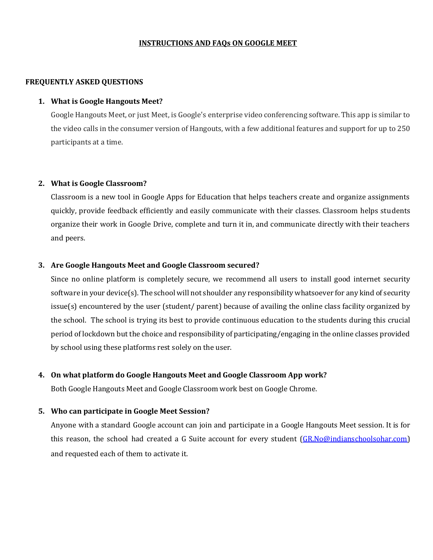## **INSTRUCTIONS AND FAQs ON GOOGLE MEET**

## **FREQUENTLY ASKED QUESTIONS**

## **1. What is Google Hangouts Meet?**

Google Hangouts Meet, or just Meet, is Google's enterprise video conferencing software. This app is similar to the video calls in the consumer version of Hangouts, with a few additional features and support for up to 250 participants at a time.

### **2. What is Google Classroom?**

Classroom is a new tool in Google Apps for Education that helps teachers create and organize assignments quickly, provide feedback efficiently and easily communicate with their classes. Classroom helps students organize their work in Google Drive, complete and turn it in, and communicate directly with their teachers and peers.

### **3. Are Google Hangouts Meet and Google Classroom secured?**

Since no online platform is completely secure, we recommend all users to install good internet security software in your device(s). The school will not shoulder any responsibility whatsoever for any kind of security issue(s) encountered by the user (student/ parent) because of availing the online class facility organized by the school. The school is trying its best to provide continuous education to the students during this crucial period of lockdown but the choice and responsibility of participating/engaging in the online classes provided by school using these platforms rest solely on the user.

## **4. On what platform do Google Hangouts Meet and Google Classroom App work?**

Both Google Hangouts Meet and Google Classroom work best on Google Chrome.

#### **5. Who can participate in Google Meet Session?**

Anyone with a standard Google account can join and participate in a Google Hangouts Meet session. It is for this reason, the school had created a G Suite account for every stud[ent \(GR.No@indianschoolsohar.c](mailto:GR.No@indianschoolsohar.com)om) and requested each of them to activate it.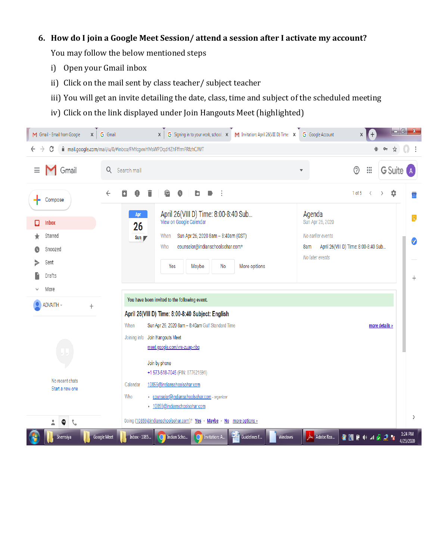# **6. How do I join a Google Meet Session/ attend a session after I activate my account?**

You may follow the below mentioned steps

- i) Open your Gmail inbox
- ii) Click on the mail sent by class teacher/ subject teacher
- iii) You will get an invite detailing the date, class, time and subject of the scheduled meeting
- iv) Click on the link displayed under Join Hangouts Meet (highlighted)

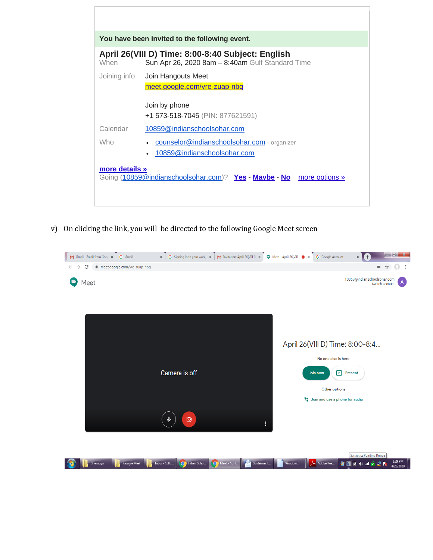| You have been invited to the following event.                                             |                                                                                                       |
|-------------------------------------------------------------------------------------------|-------------------------------------------------------------------------------------------------------|
| When                                                                                      | April 26(VIII D) Time: 8:00-8:40 Subject: English<br>Sun Apr 26, 2020 8am - 8:40am Gulf Standard Time |
| Joining info                                                                              | Join Hangouts Meet<br>meet.google.com/vre-zuap-nbq                                                    |
|                                                                                           | Join by phone                                                                                         |
|                                                                                           | +1 573-518-7045 (PIN: 877621591)                                                                      |
| Calendar                                                                                  | 10859@indianschoolsohar.com                                                                           |
| <b>Who</b>                                                                                | counselor@indianschoolsohar.com - organizer<br>$\bullet$<br>10859@indianschoolsohar.com<br>$\bullet$  |
| more details »<br>Going (10859@indianschoolsohar.com)? Yes - Maybe - No<br>more options » |                                                                                                       |
|                                                                                           |                                                                                                       |

v) On clicking the link, you will be directed to the following Google Meet screen